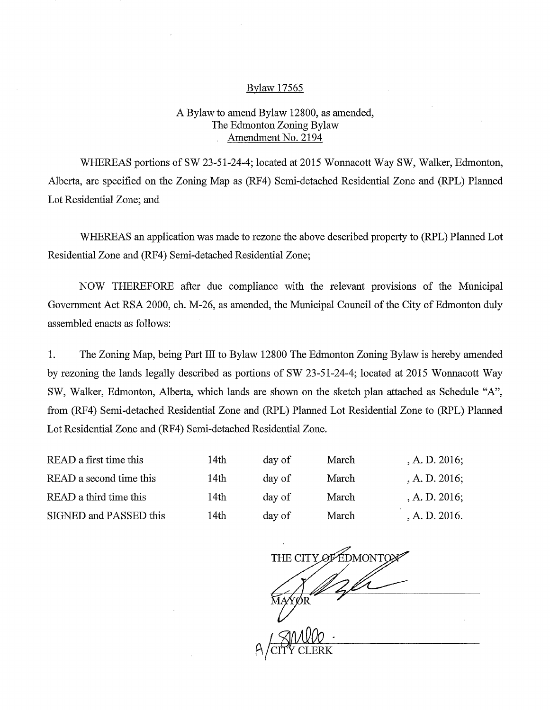## Bylaw 17565

## A Bylaw to amend Bylaw 12800, as amended, The Edmonton Zoning Bylaw Amendment No. 2194

WHEREAS portions of SW 23-51-24-4; located at 2015 Wonnacott Way SW, Walker, Edmonton, Alberta, are specified on the Zoning Map as (RF4) Semi-detached Residential Zone and (RPL) Planned Lot Residential Zone; and

WHEREAS an application was made to rezone the above described property to (RPL) Planned Lot Residential Zone and (RF4) Semi-detached Residential Zone;

NOW THEREFORE after due compliance with the relevant provisions of the Municipal Government Act RSA 2000, ch. M-26, as amended, the Municipal Council of the City of Edmonton duly assembled enacts as follows:

1. The Zoning Map, being Part III to Bylaw 12800 The Edmonton Zoning Bylaw is hereby amended by rezoning the lands legally described as portions of SW 23-51-24-4; located at 2015 Wonnacott Way SW, Walker, Edmonton, Alberta, which lands are shown on the sketch plan attached as Schedule "A", from (RF4) Semi-detached Residential Zone and (RPL) Planned Lot Residential Zone to (RPL) Planned Lot Residential Zone and (RF4) Semi-detached Residential Zone.

| READ a first time this  | 14th  | day of | March | , A. D. 2016; |
|-------------------------|-------|--------|-------|---------------|
| READ a second time this | 14th  | day of | March | A. D. 2016;   |
| READ a third time this  | 14th  | day of | March | A. D. 2016;   |
| SIGNED and PASSED this  | l 4th | day of | March | A. D. 2016.   |

THE CITY OF EDMONTO  $\int$ Sirwe CITY CLERK